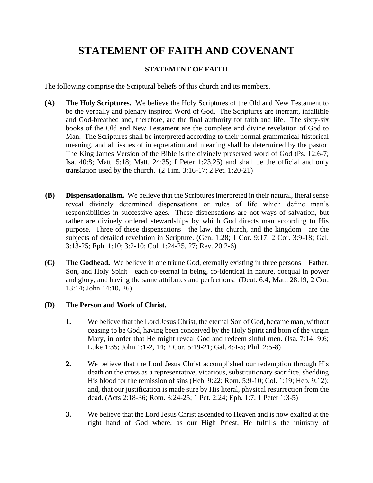# **STATEMENT OF FAITH AND COVENANT**

## **STATEMENT OF FAITH**

The following comprise the Scriptural beliefs of this church and its members.

- **(A) The Holy Scriptures.** We believe the Holy Scriptures of the Old and New Testament to be the verbally and plenary inspired Word of God. The Scriptures are inerrant, infallible and God-breathed and, therefore, are the final authority for faith and life. The sixty-six books of the Old and New Testament are the complete and divine revelation of God to Man. The Scriptures shall be interpreted according to their normal grammatical-historical meaning, and all issues of interpretation and meaning shall be determined by the pastor. The King James Version of the Bible is the divinely preserved word of God (Ps. 12:6-7; Isa. 40:8; Matt. 5:18; Matt. 24:35; I Peter 1:23,25) and shall be the official and only translation used by the church. (2 Tim. 3:16-17; 2 Pet. 1:20-21)
- **(B) Dispensationalism.** We believe that the Scriptures interpreted in their natural, literal sense reveal divinely determined dispensations or rules of life which define man's responsibilities in successive ages. These dispensations are not ways of salvation, but rather are divinely ordered stewardships by which God directs man according to His purpose. Three of these dispensations—the law, the church, and the kingdom—are the subjects of detailed revelation in Scripture. (Gen. 1:28; 1 Cor. 9:17; 2 Cor. 3:9-18; Gal. 3:13-25; Eph. 1:10; 3:2-10; Col. 1:24-25, 27; Rev. 20:2-6)
- **(C) The Godhead.** We believe in one triune God, eternally existing in three persons—Father, Son, and Holy Spirit—each co-eternal in being, co-identical in nature, coequal in power and glory, and having the same attributes and perfections. (Deut. 6:4; Matt. 28:19; 2 Cor. 13:14; John 14:10, 26)

## **(D) The Person and Work of Christ.**

- **1.** We believe that the Lord Jesus Christ, the eternal Son of God, became man, without ceasing to be God, having been conceived by the Holy Spirit and born of the virgin Mary, in order that He might reveal God and redeem sinful men. (Isa. 7:14; 9:6; Luke 1:35; John 1:1-2, 14; 2 Cor. 5:19-21; Gal. 4:4-5; Phil. 2:5-8)
- **2.** We believe that the Lord Jesus Christ accomplished our redemption through His death on the cross as a representative, vicarious, substitutionary sacrifice, shedding His blood for the remission of sins (Heb. 9:22; Rom. 5:9-10; Col. 1:19; Heb. 9:12); and, that our justification is made sure by His literal, physical resurrection from the dead. (Acts 2:18-36; Rom. 3:24-25; 1 Pet. 2:24; Eph. 1:7; 1 Peter 1:3-5)
- **3.** We believe that the Lord Jesus Christ ascended to Heaven and is now exalted at the right hand of God where, as our High Priest, He fulfills the ministry of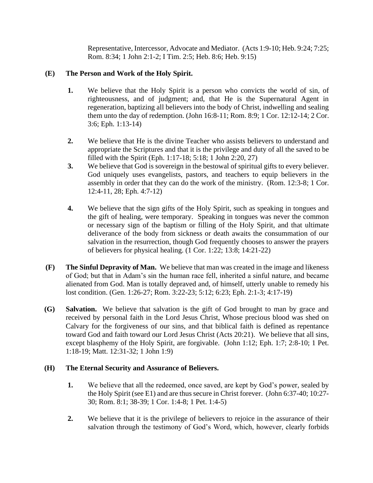Representative, Intercessor, Advocate and Mediator. (Acts 1:9-10; Heb. 9:24; 7:25; Rom. 8:34; 1 John 2:1-2; I Tim. 2:5; Heb. 8:6; Heb. 9:15)

## **(E) The Person and Work of the Holy Spirit.**

- **1.** We believe that the Holy Spirit is a person who convicts the world of sin, of righteousness, and of judgment; and, that He is the Supernatural Agent in regeneration, baptizing all believers into the body of Christ, indwelling and sealing them unto the day of redemption. (John 16:8-11; Rom. 8:9; 1 Cor. 12:12-14; 2 Cor. 3:6; Eph. 1:13-14)
- **2.** We believe that He is the divine Teacher who assists believers to understand and appropriate the Scriptures and that it is the privilege and duty of all the saved to be filled with the Spirit (Eph. 1:17-18; 5:18; 1 John 2:20, 27)
- **3.** We believe that God is sovereign in the bestowal of spiritual gifts to every believer. God uniquely uses evangelists, pastors, and teachers to equip believers in the assembly in order that they can do the work of the ministry. (Rom. 12:3-8; 1 Cor. 12:4-11, 28; Eph. 4:7-12)
- **4.** We believe that the sign gifts of the Holy Spirit, such as speaking in tongues and the gift of healing, were temporary. Speaking in tongues was never the common or necessary sign of the baptism or filling of the Holy Spirit, and that ultimate deliverance of the body from sickness or death awaits the consummation of our salvation in the resurrection, though God frequently chooses to answer the prayers of believers for physical healing. (1 Cor. 1:22; 13:8; 14:21-22)
- **(F) The Sinful Depravity of Man.** We believe that man was created in the image and likeness of God; but that in Adam's sin the human race fell, inherited a sinful nature, and became alienated from God. Man is totally depraved and, of himself, utterly unable to remedy his lost condition. (Gen. 1:26-27; Rom. 3:22-23; 5:12; 6:23; Eph. 2:1-3; 4:17-19)
- **(G) Salvation.** We believe that salvation is the gift of God brought to man by grace and received by personal faith in the Lord Jesus Christ, Whose precious blood was shed on Calvary for the forgiveness of our sins, and that biblical faith is defined as repentance toward God and faith toward our Lord Jesus Christ (Acts 20:21). We believe that all sins, except blasphemy of the Holy Spirit, are forgivable. (John 1:12; Eph. 1:7; 2:8-10; 1 Pet. 1:18-19; Matt. 12:31-32; 1 John 1:9)

## **(H) The Eternal Security and Assurance of Believers.**

- **1.** We believe that all the redeemed, once saved, are kept by God's power, sealed by the Holy Spirit (see E1) and are thus secure in Christ forever. (John 6:37-40; 10:27- 30; Rom. 8:1; 38-39; 1 Cor. 1:4-8; 1 Pet. 1:4-5)
- **2.** We believe that it is the privilege of believers to rejoice in the assurance of their salvation through the testimony of God's Word, which, however, clearly forbids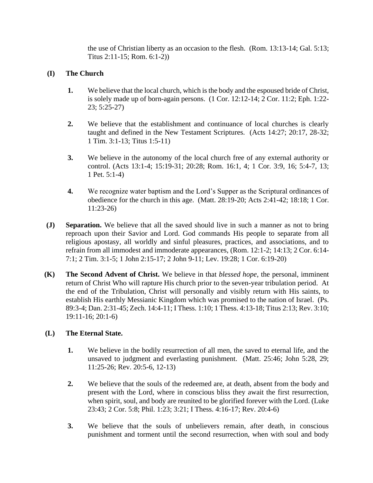the use of Christian liberty as an occasion to the flesh. (Rom. 13:13-14; Gal. 5:13; Titus 2:11-15; Rom. 6:1-2))

## **(I) The Church**

- **1.** We believe that the local church, which is the body and the espoused bride of Christ, is solely made up of born-again persons. (1 Cor. 12:12-14; 2 Cor. 11:2; Eph. 1:22- 23; 5:25-27)
- **2.** We believe that the establishment and continuance of local churches is clearly taught and defined in the New Testament Scriptures. (Acts 14:27; 20:17, 28-32; 1 Tim. 3:1-13; Titus 1:5-11)
- **3.** We believe in the autonomy of the local church free of any external authority or control. (Acts 13:1-4; 15:19-31; 20:28; Rom. 16:1, 4; 1 Cor. 3:9, 16; 5:4-7, 13; 1 Pet. 5:1-4)
- **4.** We recognize water baptism and the Lord's Supper as the Scriptural ordinances of obedience for the church in this age. (Matt. 28:19-20; Acts 2:41-42; 18:18; 1 Cor. 11:23-26)
- **(J) Separation.** We believe that all the saved should live in such a manner as not to bring reproach upon their Savior and Lord. God commands His people to separate from all religious apostasy, all worldly and sinful pleasures, practices, and associations, and to refrain from all immodest and immoderate appearances, (Rom. 12:1-2; 14:13; 2 Cor. 6:14- 7:1; 2 Tim. 3:1-5; 1 John 2:15-17; 2 John 9-11; Lev. 19:28; 1 Cor. 6:19-20)
- **(K) The Second Advent of Christ.** We believe in that *blessed hope*, the personal, imminent return of Christ Who will rapture His church prior to the seven-year tribulation period. At the end of the Tribulation, Christ will personally and visibly return with His saints, to establish His earthly Messianic Kingdom which was promised to the nation of Israel. (Ps. 89:3-4; Dan. 2:31-45; Zech. 14:4-11; I Thess. 1:10; 1 Thess. 4:13-18; Titus 2:13; Rev. 3:10; 19:11-16; 20:1-6)

## **(L) The Eternal State.**

- **1.** We believe in the bodily resurrection of all men, the saved to eternal life, and the unsaved to judgment and everlasting punishment. (Matt. 25:46; John 5:28, 29; 11:25-26; Rev. 20:5-6, 12-13)
- **2.** We believe that the souls of the redeemed are, at death, absent from the body and present with the Lord, where in conscious bliss they await the first resurrection, when spirit, soul, and body are reunited to be glorified forever with the Lord. (Luke 23:43; 2 Cor. 5:8; Phil. 1:23; 3:21; I Thess. 4:16-17; Rev. 20:4-6)
- **3.** We believe that the souls of unbelievers remain, after death, in conscious punishment and torment until the second resurrection, when with soul and body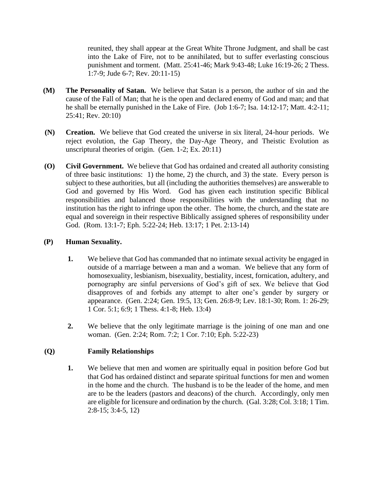reunited, they shall appear at the Great White Throne Judgment, and shall be cast into the Lake of Fire, not to be annihilated, but to suffer everlasting conscious punishment and torment. (Matt. 25:41-46; Mark 9:43-48; Luke 16:19-26; 2 Thess. 1:7-9; Jude 6-7; Rev. 20:11-15)

- **(M) The Personality of Satan.** We believe that Satan is a person, the author of sin and the cause of the Fall of Man; that he is the open and declared enemy of God and man; and that he shall be eternally punished in the Lake of Fire. (Job 1:6-7; Isa. 14:12-17; Matt. 4:2-11; 25:41; Rev. 20:10)
- **(N) Creation.** We believe that God created the universe in six literal, 24-hour periods. We reject evolution, the Gap Theory, the Day-Age Theory, and Theistic Evolution as unscriptural theories of origin. (Gen. 1-2; Ex. 20:11)
- **(O) Civil Government.** We believe that God has ordained and created all authority consisting of three basic institutions: 1) the home, 2) the church, and 3) the state. Every person is subject to these authorities, but all (including the authorities themselves) are answerable to God and governed by His Word. God has given each institution specific Biblical responsibilities and balanced those responsibilities with the understanding that no institution has the right to infringe upon the other. The home, the church, and the state are equal and sovereign in their respective Biblically assigned spheres of responsibility under God. (Rom. 13:1-7; Eph. 5:22-24; Heb. 13:17; 1 Pet. 2:13-14)

#### **(P) Human Sexuality.**

- **1.** We believe that God has commanded that no intimate sexual activity be engaged in outside of a marriage between a man and a woman. We believe that any form of homosexuality, lesbianism, bisexuality, bestiality, incest, fornication, adultery, and pornography are sinful perversions of God's gift of sex. We believe that God disapproves of and forbids any attempt to alter one's gender by surgery or appearance. (Gen. 2:24; Gen. 19:5, 13; Gen. 26:8-9; Lev. 18:1-30; Rom. 1: 26-29; 1 Cor. 5:1; 6:9; 1 Thess. 4:1-8; Heb. 13:4)
- **2.** We believe that the only legitimate marriage is the joining of one man and one woman. (Gen. 2:24; Rom. 7:2; 1 Cor. 7:10; Eph. 5:22-23)

## **(Q) Family Relationships**

**1.** We believe that men and women are spiritually equal in position before God but that God has ordained distinct and separate spiritual functions for men and women in the home and the church. The husband is to be the leader of the home, and men are to be the leaders (pastors and deacons) of the church. Accordingly, only men are eligible for licensure and ordination by the church. (Gal. 3:28; Col. 3:18; 1 Tim. 2:8-15; 3:4-5, 12)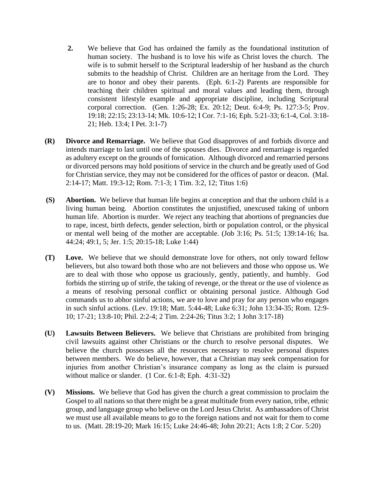- **2.** We believe that God has ordained the family as the foundational institution of human society. The husband is to love his wife as Christ loves the church. The wife is to submit herself to the Scriptural leadership of her husband as the church submits to the headship of Christ. Children are an heritage from the Lord. They are to honor and obey their parents. (Eph. 6:1-2) Parents are responsible for teaching their children spiritual and moral values and leading them, through consistent lifestyle example and appropriate discipline, including Scriptural corporal correction. (Gen. 1:26-28; Ex. 20:12; Deut. 6:4-9; Ps. 127:3-5; Prov. 19:18; 22:15; 23:13-14; Mk. 10:6-12; I Cor. 7:1-16; Eph. 5:21-33; 6:1-4, Col. 3:18- 21; Heb. 13:4; I Pet. 3:1-7)
- **(R) Divorce and Remarriage.** We believe that God disapproves of and forbids divorce and intends marriage to last until one of the spouses dies. Divorce and remarriage is regarded as adultery except on the grounds of fornication. Although divorced and remarried persons or divorced persons may hold positions of service in the church and be greatly used of God for Christian service, they may not be considered for the offices of pastor or deacon. (Mal. 2:14-17; Matt. 19:3-12; Rom. 7:1-3; 1 Tim. 3:2, 12; Titus 1:6)
- **(S) Abortion.** We believe that human life begins at conception and that the unborn child is a living human being. Abortion constitutes the unjustified, unexcused taking of unborn human life. Abortion is murder. We reject any teaching that abortions of pregnancies due to rape, incest, birth defects, gender selection, birth or population control, or the physical or mental well being of the mother are acceptable. (Job 3:16; Ps. 51:5; 139:14-16; Isa. 44:24; 49:1, 5; Jer. 1:5; 20:15-18; Luke 1:44)
- **(T) Love.** We believe that we should demonstrate love for others, not only toward fellow believers, but also toward both those who are not believers and those who oppose us. We are to deal with those who oppose us graciously, gently, patiently, and humbly. God forbids the stirring up of strife, the taking of revenge, or the threat or the use of violence as a means of resolving personal conflict or obtaining personal justice. Although God commands us to abhor sinful actions, we are to love and pray for any person who engages in such sinful actions. (Lev. 19:18; Matt. 5:44-48; Luke 6:31; John 13:34-35; Rom. 12:9- 10; 17-21; 13:8-10; Phil. 2:2-4; 2 Tim. 2:24-26; Titus 3:2; 1 John 3:17-18)
- **(U) Lawsuits Between Believers.** We believe that Christians are prohibited from bringing civil lawsuits against other Christians or the church to resolve personal disputes. We believe the church possesses all the resources necessary to resolve personal disputes between members. We do believe, however, that a Christian may seek compensation for injuries from another Christian's insurance company as long as the claim is pursued without malice or slander. (1 Cor. 6:1-8; Eph. 4:31-32)
- **(V) Missions.** We believe that God has given the church a great commission to proclaim the Gospel to all nations so that there might be a great multitude from every nation, tribe, ethnic group, and language group who believe on the Lord Jesus Christ. As ambassadors of Christ we must use all available means to go to the foreign nations and not wait for them to come to us. (Matt. 28:19-20; Mark 16:15; Luke 24:46-48; John 20:21; Acts 1:8; 2 Cor. 5:20)